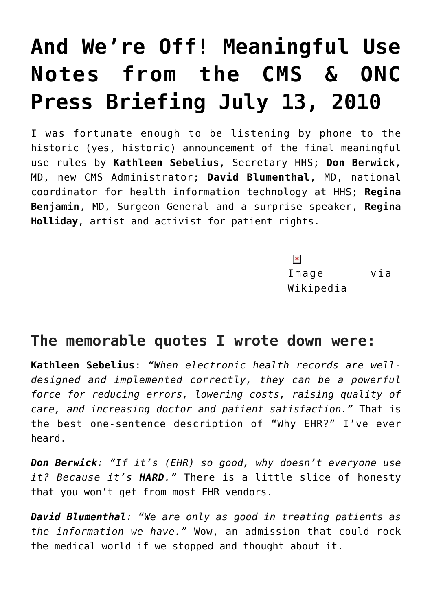# **[And We're Off! Meaningful Use](https://managemypractice.com/and-were-off-meaningful-use-notes-from-the-cms-onc-press-briefing-july-13-2010/) [Notes from the CMS & ONC](https://managemypractice.com/and-were-off-meaningful-use-notes-from-the-cms-onc-press-briefing-july-13-2010/) [Press Briefing July 13, 2010](https://managemypractice.com/and-were-off-meaningful-use-notes-from-the-cms-onc-press-briefing-july-13-2010/)**

I was fortunate enough to be listening by phone to the historic (yes, historic) announcement of the final meaningful use rules by **Kathleen Sebelius**, Secretary HHS; **Don Berwick**, MD, new CMS Administrator; **David Blumenthal**, MD, national coordinator for health information technology at HHS; **Regina Benjamin**, MD, Surgeon General and a surprise speaker, **Regina Holliday**, artist and activist for patient rights.

> $\pmb{\times}$ Image via Wikipedia

### **The memorable quotes I wrote down were:**

**Kathleen Sebelius**: *"When electronic health records are welldesigned and implemented correctly, they can be a powerful force for reducing errors, lowering costs, raising quality of care, and increasing doctor and patient satisfaction."* That is the best one-sentence description of "Why EHR?" I've ever heard.

*Don Berwick: "If it's (EHR) so good, why doesn't everyone use it? Because it's HARD."* There is a little slice of honesty that you won't get from most EHR vendors.

*David Blumenthal: "We are only as good in treating patients as the information we have."* Wow, an admission that could rock the medical world if we stopped and thought about it.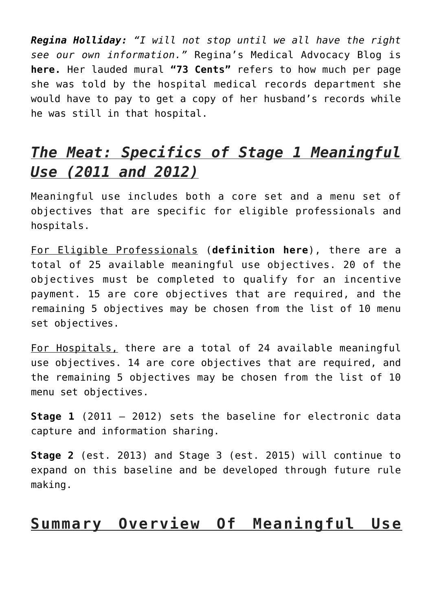*Regina Holliday: "I will not stop until we all have the right see our own information."* Regina's Medical Advocacy Blog is **[here.](http://reginaholliday.blogspot.com/2010/06/e-patient-ephemera.html)** Her lauded mural **["73 Cents"](http://www.npr.org/templates/story/story.php?storyId=120028213)** refers to how much per page she was told by the hospital medical records department she would have to pay to get a copy of her husband's records while he was still in that hospital.

## *The Meat: Specifics of Stage 1 Meaningful Use (2011 and 2012)*

Meaningful use includes both a core set and a menu set of objectives that are specific for eligible professionals and hospitals.

For Eligible Professionals (**[definition here](https://managemypractice.com/arra-eligible-providers-who-is-eligible-to-receive-stimulus-money-and-how-much-is-available-per-provider/)**), there are a total of 25 available meaningful use objectives. 20 of the objectives must be completed to qualify for an incentive payment. 15 are core objectives that are required, and the remaining 5 objectives may be chosen from the list of 10 menu set objectives.

For Hospitals, there are a total of 24 available meaningful use objectives. 14 are core objectives that are required, and the remaining 5 objectives may be chosen from the list of 10 menu set objectives.

**Stage 1** (2011 – 2012) sets the baseline for electronic data capture and information sharing.

**Stage 2** (est. 2013) and Stage 3 (est. 2015) will continue to expand on this baseline and be developed through future rule making.

#### **Summary Overview Of Meaningful Use**